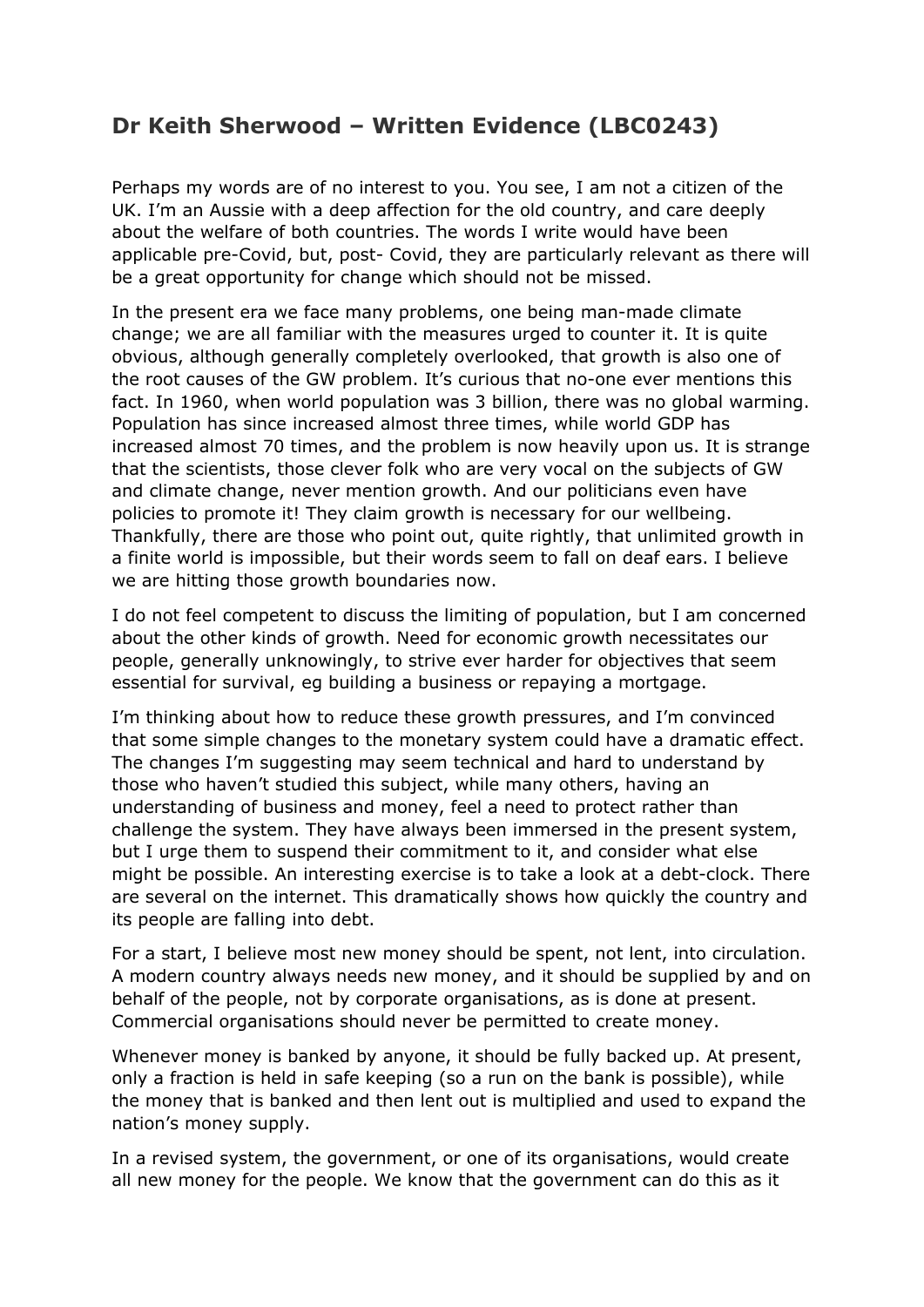## **Dr Keith Sherwood – Written Evidence (LBC0243)**

Perhaps my words are of no interest to you. You see, I am not a citizen of the UK. I'm an Aussie with a deep affection for the old country, and care deeply about the welfare of both countries. The words I write would have been applicable pre-Covid, but, post- Covid, they are particularly relevant as there will be a great opportunity for change which should not be missed.

In the present era we face many problems, one being man-made climate change; we are all familiar with the measures urged to counter it. It is quite obvious, although generally completely overlooked, that growth is also one of the root causes of the GW problem. It's curious that no-one ever mentions this fact. In 1960, when world population was 3 billion, there was no global warming. Population has since increased almost three times, while world GDP has increased almost 70 times, and the problem is now heavily upon us. It is strange that the scientists, those clever folk who are very vocal on the subjects of GW and climate change, never mention growth. And our politicians even have policies to promote it! They claim growth is necessary for our wellbeing. Thankfully, there are those who point out, quite rightly, that unlimited growth in a finite world is impossible, but their words seem to fall on deaf ears. I believe we are hitting those growth boundaries now.

I do not feel competent to discuss the limiting of population, but I am concerned about the other kinds of growth. Need for economic growth necessitates our people, generally unknowingly, to strive ever harder for objectives that seem essential for survival, eg building a business or repaying a mortgage.

I'm thinking about how to reduce these growth pressures, and I'm convinced that some simple changes to the monetary system could have a dramatic effect. The changes I'm suggesting may seem technical and hard to understand by those who haven't studied this subject, while many others, having an understanding of business and money, feel a need to protect rather than challenge the system. They have always been immersed in the present system, but I urge them to suspend their commitment to it, and consider what else might be possible. An interesting exercise is to take a look at a debt-clock. There are several on the internet. This dramatically shows how quickly the country and its people are falling into debt.

For a start, I believe most new money should be spent, not lent, into circulation. A modern country always needs new money, and it should be supplied by and on behalf of the people, not by corporate organisations, as is done at present. Commercial organisations should never be permitted to create money.

Whenever money is banked by anyone, it should be fully backed up. At present, only a fraction is held in safe keeping (so a run on the bank is possible), while the money that is banked and then lent out is multiplied and used to expand the nation's money supply.

In a revised system, the government, or one of its organisations, would create all new money for the people. We know that the government can do this as it